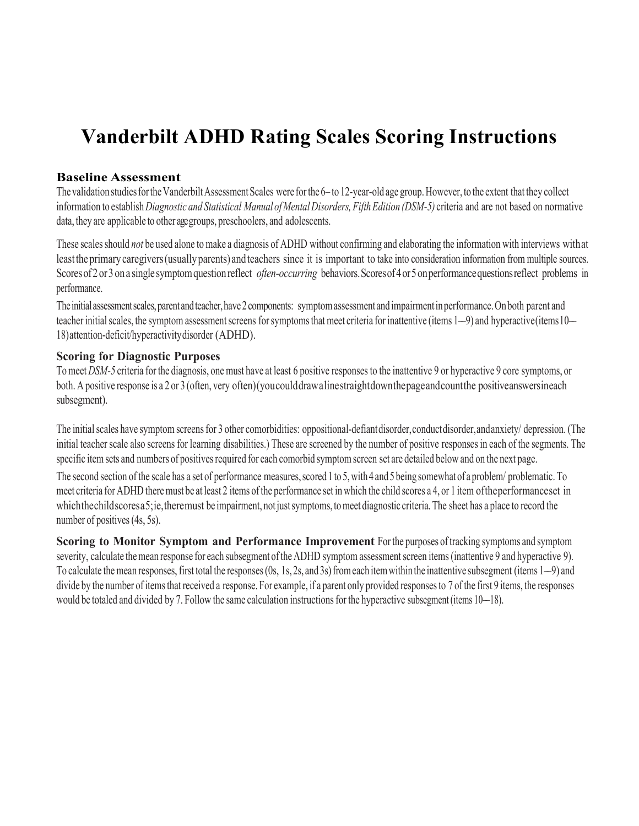# **Vanderbilt ADHD Rating Scales Scoring Instructions**

#### **Baseline Assessment**

The validation studies for the Vanderbilt Assessment Scales were for the 6– to 12-year-old age group. However, to the extent that they collect information to establish *Diagnostic and Statistical Manual of Mental Disorders, Fifth Edition (DSM-5)* criteria and are not based on normative data, they are applicable to other age groups, preschoolers, and adolescents.

These scalesshould *not* be used alone to make a diagnosis of ADHD without confirming and elaborating the information with interviews withat leasttheprimarycaregivers(usually parents) andteachers since it is important to take into consideration information from multiple sources. Scores of 2 or 3 on a single symptom question reflect *often-occurring* behaviors. Scores of 4 or 5 on performance questions reflect problems in performance.

The initial assessment scales, parent and teacher, have 2 components: symptom assessment and impairment in performance. On both parent and teacher initial scales, the symptom assessment screens for symptoms that meet criteria for inattentive (items 1–9) and hyperactive (items 10– 18)attention-deficit/hyperactivitydisorder (ADHD).

## **Scoring for Diagnostic Purposes**

To meet *DSM-5* criteria for the diagnosis, one must have at least 6 positive responses to the inattentive 9 or hyperactive 9 core symptoms, or both. A positive response is a 2 or 3 (often, very often)(youcoulddrawalinestraightdownthepageandcountthe positiveanswersineach subsegment).

The initial scales have symptom screens for 3 other comorbidities: oppositional-defiantdisorder, conductdisorder, and anxiety/ depression. (The initial teacher scale also screens for learning disabilities.) These are screened by the number of positive responses in each of the segments. The specific item sets and numbers of positives required for each comorbid symptom screen set are detailed below and on the next page.

The second section of the scale has a set of performance measures, scored 1 to 5, with 4 and 5 being somewhat of a problem/ problematic. To meet criteria for ADHD there must be at least 2 items of the performance set in which the child scores a 4, or 1 item oftheperformanceset in which the childscoresa 5; ie, theremust be impairment, not just symptoms, to meet diagnostic criteria. The sheet has a place to record the number of positives (4s, 5s).

**Scoring to Monitor Symptom and Performance Improvement** Forthe purposes of tracking symptoms and symptom severity, calculate the mean response for each subsegment of the ADHD symptom assessment screen items (inattentive 9 and hyperactive 9). To calculate the mean responses, first total the responses (0s, 1s, 2s, and 3s) from each item within the inattentive subsegment (items 1–9) and divide by the number of items that received a response. For example, if a parent only provided responses to 7 of the first 9 items, the responses would be totaled and divided by 7. Follow the same calculation instructions for the hyperactive subsegment (items 10–18).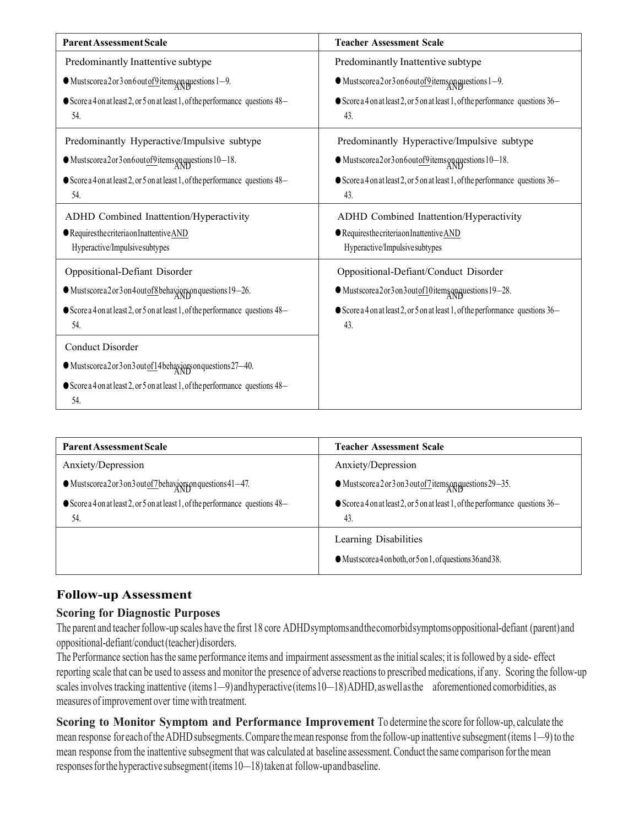| <b>Parent Assessment Scale</b>                                                       | <b>Teacher Assessment Scale</b>                                                      |
|--------------------------------------------------------------------------------------|--------------------------------------------------------------------------------------|
| Predominantly Inattentive subtype                                                    | Predominantly Inattentive subtype                                                    |
| $\bullet$ Mustscore a 2 or 3 on 6 out <u>of 9</u> items and questions 1-9.           | $\bullet$ Mustscore a 2 or 3 on 6 out of 9 items and questions 1-9.                  |
| Score a 4 on at least 2, or 5 on at least 1, of the performance questions 48-<br>54. | Score a 4 on at least 2, or 5 on at least 1, of the performance questions 36-<br>43. |
| Predominantly Hyperactive/Impulsive subtype                                          | Predominantly Hyperactive/Impulsive subtype                                          |
| $\bullet$ Mustscorea 2 or 3 on 6 out of 9 items approximations 10–18.                | $\bullet$ Mustscorea2or3on6outof9items and AND stions 10–18.                         |
| Score a 4 on at least 2, or 5 on at least 1, of the performance questions 48-<br>54. | Score a 4 on at least 2, or 5 on at least 1, of the performance questions 36-<br>43. |
| ADHD Combined Inattention/Hyperactivity                                              | ADHD Combined Inattention/Hyperactivity                                              |
| <b>Requiresthecriteria on Inattentive AND</b>                                        | Requires the criteria on Inattentive AND                                             |
| Hyperactive/Impulsive subtypes                                                       | Hyperactive/Impulsive subtypes                                                       |
| Oppositional-Defiant Disorder                                                        | Oppositional-Defiant/Conduct Disorder                                                |
| $\bullet$ Mustscorea 2 or 3 on 4 out of 8 behaviors on questions 19-26.              | •Mustscorea2or3on3outof10itemsonquestions19-28.                                      |
| Score a 4 on at least 2, or 5 on at least 1, of the performance questions 48-<br>54. | Score a 4 on at least 2, or 5 on at least 1, of the performance questions 36-<br>43. |
| <b>Conduct Disorder</b>                                                              |                                                                                      |
| $\bullet$ Mustscorea 2 or 3 on 3 out of 14 behaviors on questions 27-40.             |                                                                                      |
| Score a 4 on at least 2, or 5 on at least 1, of the performance questions 48-<br>54. |                                                                                      |

| <b>Parent Assessment Scale</b>                                                                 | <b>Teacher Assessment Scale</b>                                                                |
|------------------------------------------------------------------------------------------------|------------------------------------------------------------------------------------------------|
| Anxiety/Depression                                                                             | Anxiety/Depression                                                                             |
| $\bullet$ Mustscorea 2 or 3 on 3 out of 7 behaviors proportions 41–47.                         | $\bullet$ Mustscore a 2 or 3 on 3 out of 7 items and questions 29–35.                          |
| $\bullet$ Score a 4 on at least 2, or 5 on at least 1, of the performance questions 48–<br>54. | $\bullet$ Score a 4 on at least 2, or 5 on at least 1, of the performance questions 36–<br>43. |
|                                                                                                | Learning Disabilities<br>•Mustscorea4onboth, or 5 on 1, of questions 36 and 38.                |

## **Follow-up Assessment**

#### **Scoring for Diagnostic Purposes**

The parent and teacher follow-up scales have the first 18 core ADHDsymptomsandthecomorbidsymptomsoppositional-defiant (parent) and oppositional-defiant/conduct(teacher)disorders.

The Performance section has the same performance items and impairment assessment as the initial scales; it is followed by a side- effect reporting scale that can be used to assess and monitor the presence of adverse reactions to prescribed medications, if any. Scoring the follow-up scales involves tracking inattentive (items1–9)andhyperactive (items10–18) ADHD, as well as the aforementioned comorbidities, as measures ofimprovement over time with treatment.

**Scoring to Monitor Symptom and Performance Improvement** To determine the score for follow-up, calculate the mean response for each of the ADHD subsegments. Compare the mean response from the follow-up inattentive subsegment (items 1–9) to the mean response from the inattentive subsegment that was calculated at baseline assessment. Conduct the same comparison for the mean responses for the hyperactive subsegment (items 10–18) taken at follow-up and baseline.